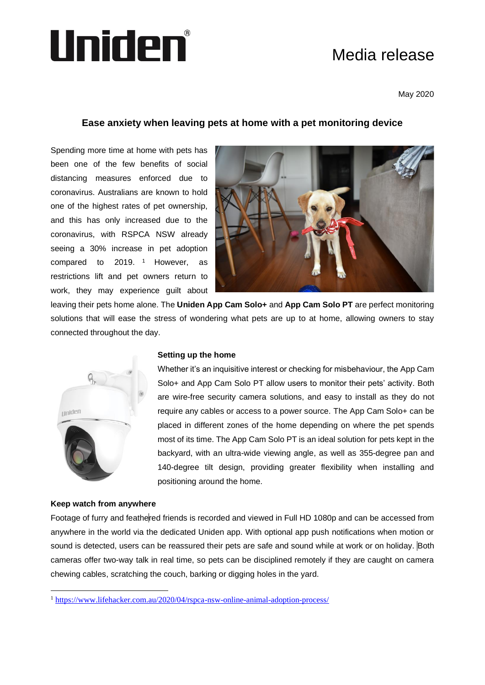# Media release



May 2020

# **Ease anxiety when leaving pets at home with a pet monitoring device**

Spending more time at home with pets has been one of the few benefits of social distancing measures enforced due to coronavirus. Australians are known to hold one of the highest rates of pet ownership, and this has only increased due to the coronavirus, with RSPCA NSW already seeing a 30% increase in pet adoption compared to 2019.  $1$  However, as restrictions lift and pet owners return to work, they may experience guilt about



leaving their pets home alone. The **Uniden App Cam Solo+** and **App Cam Solo PT** are perfect monitoring solutions that will ease the stress of wondering what pets are up to at home, allowing owners to stay connected throughout the day.



# **Setting up the home**

Whether it's an inquisitive interest or checking for misbehaviour, the App Cam Solo+ and App Cam Solo PT allow users to monitor their pets' activity. Both are wire-free security camera solutions, and easy to install as they do not require any cables or access to a power source. The App Cam Solo+ can be placed in different zones of the home depending on where the pet spends most of its time. The App Cam Solo PT is an ideal solution for pets kept in the backyard, with an ultra-wide viewing angle, as well as 355-degree pan and 140-degree tilt design, providing greater flexibility when installing and positioning around the home.

## **Keep watch from anywhere**

Footage of furry and feathered friends is recorded and viewed in Full HD 1080p and can be accessed from anywhere in the world via the dedicated Uniden app. With optional app push notifications when motion or sound is detected, users can be reassured their pets are safe and sound while at work or on holiday. Both cameras offer two-way talk in real time, so pets can be disciplined remotely if they are caught on camera chewing cables, scratching the couch, barking or digging holes in the yard.

<sup>1</sup> <https://www.lifehacker.com.au/2020/04/rspca-nsw-online-animal-adoption-process/>